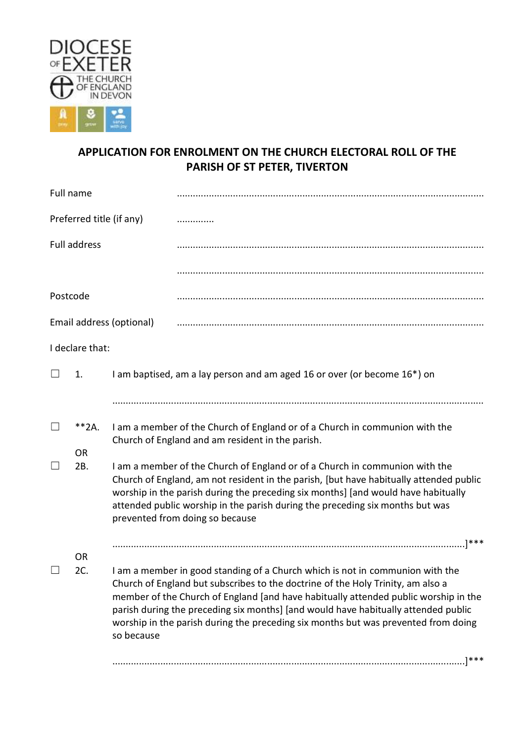

## **APPLICATION FOR ENROLMENT ON THE CHURCH ELECTORAL ROLL OF THE PARISH OF ST PETER, TIVERTON**

| Full name                |                          |                                                                                                                                                                                                                                                                                                                                                                                                                                                   |
|--------------------------|--------------------------|---------------------------------------------------------------------------------------------------------------------------------------------------------------------------------------------------------------------------------------------------------------------------------------------------------------------------------------------------------------------------------------------------------------------------------------------------|
|                          | Preferred title (if any) | .                                                                                                                                                                                                                                                                                                                                                                                                                                                 |
| <b>Full address</b>      |                          |                                                                                                                                                                                                                                                                                                                                                                                                                                                   |
|                          |                          |                                                                                                                                                                                                                                                                                                                                                                                                                                                   |
| Postcode                 |                          |                                                                                                                                                                                                                                                                                                                                                                                                                                                   |
| Email address (optional) |                          |                                                                                                                                                                                                                                                                                                                                                                                                                                                   |
| I declare that:          |                          |                                                                                                                                                                                                                                                                                                                                                                                                                                                   |
|                          | 1.                       | I am baptised, am a lay person and am aged 16 or over (or become 16*) on                                                                                                                                                                                                                                                                                                                                                                          |
|                          |                          |                                                                                                                                                                                                                                                                                                                                                                                                                                                   |
|                          | $**2A.$                  | I am a member of the Church of England or of a Church in communion with the<br>Church of England and am resident in the parish.                                                                                                                                                                                                                                                                                                                   |
|                          | <b>OR</b>                |                                                                                                                                                                                                                                                                                                                                                                                                                                                   |
|                          | 2B.                      | I am a member of the Church of England or of a Church in communion with the<br>Church of England, am not resident in the parish, [but have habitually attended public<br>worship in the parish during the preceding six months] [and would have habitually<br>attended public worship in the parish during the preceding six months but was<br>prevented from doing so because                                                                    |
|                          |                          |                                                                                                                                                                                                                                                                                                                                                                                                                                                   |
|                          | <b>OR</b>                |                                                                                                                                                                                                                                                                                                                                                                                                                                                   |
|                          | 2C.                      | I am a member in good standing of a Church which is not in communion with the<br>Church of England but subscribes to the doctrine of the Holy Trinity, am also a<br>member of the Church of England [and have habitually attended public worship in the<br>parish during the preceding six months] [and would have habitually attended public<br>worship in the parish during the preceding six months but was prevented from doing<br>so because |
|                          |                          | 1***                                                                                                                                                                                                                                                                                                                                                                                                                                              |